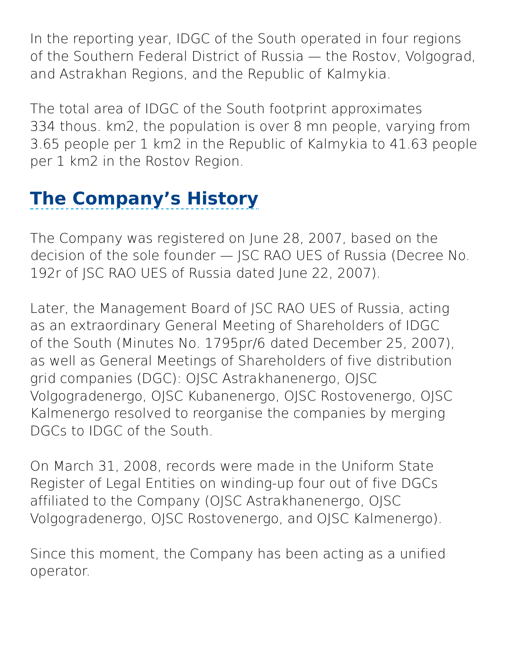In the reporting year, IDGC of the South operated in four regions of the Southern Federal District of Russia — the Rostov, Volgograd, and Astrakhan Regions, and the Republic of Kalmykia.

The total area of IDGC of the South footprint approximates 334 thous. km2, the population is over 8 mn people, varying from 3.65 people per 1 km2 in the Republic of Kalmykia to 41.63 people per 1 km2 in the Rostov Region.

## **The Company's History**

The Company was registered on June 28, 2007, based on the decision of the sole founder — JSC RAO UES of Russia (Decree No. 192r of JSC RAO UES of Russia dated June 22, 2007).

Later, the Management Board of JSC RAO UES of Russia, acting as an extraordinary General Meeting of Shareholders of IDGC of the South (Minutes No. 1795pr/6 dated December 25, 2007), as well as General Meetings of Shareholders of five distribution grid companies (DGC): OJSC Astrakhanenergo, OJSC Volgogradenergo, OJSC Kubanenergo, OJSC Rostovenergo, OJSC Kalmenergo resolved to reorganise the companies by merging DGCs to IDGC of the South.

On March 31, 2008, records were made in the Uniform State Register of Legal Entities on winding-up four out of five DGCs affiliated to the Company (OJSC Astrakhanenergo, OJSC Volgogradenergo, OJSC Rostovenergo, and OJSC Kalmenergo).

Since this moment, the Company has been acting as a unified operator.